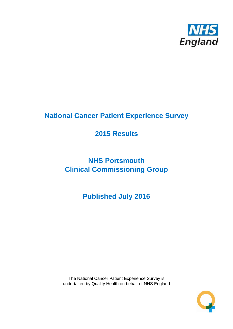

# **National Cancer Patient Experience Survey**

# **2015 Results**

# **NHS Portsmouth Clinical Commissioning Group**

**Published July 2016**

The National Cancer Patient Experience Survey is undertaken by Quality Health on behalf of NHS England

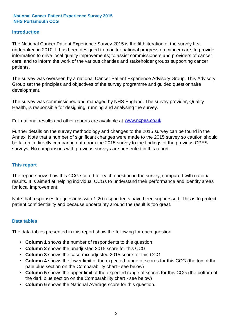#### **Introduction**

The National Cancer Patient Experience Survey 2015 is the fifth iteration of the survey first undertaken in 2010. It has been designed to monitor national progress on cancer care; to provide information to drive local quality improvements; to assist commissioners and providers of cancer care; and to inform the work of the various charities and stakeholder groups supporting cancer patients.

The survey was overseen by a national Cancer Patient Experience Advisory Group. This Advisory Group set the principles and objectives of the survey programme and guided questionnaire development.

The survey was commissioned and managed by NHS England. The survey provider, Quality Health, is responsible for designing, running and analysing the survey.

Full national results and other reports are available at www.ncpes.co.uk

Further details on the survey methodology and changes to the 2015 survey can be found in the Annex. Note that a number of significant changes were made to the 2015 survey so caution should be taken in directly comparing data from the 2015 survey to the findings of the previous CPES surveys. No comparisons with previous surveys are presented in this report.

#### **This report**

The report shows how this CCG scored for each question in the survey, compared with national results. It is aimed at helping individual CCGs to understand their performance and identify areas for local improvement.

Note that responses for questions with 1-20 respondents have been suppressed. This is to protect patient confidentiality and because uncertainty around the result is too great.

#### **Data tables**

The data tables presented in this report show the following for each question:

- **Column 1** shows the number of respondents to this question
- **Column 2** shows the unadjusted 2015 score for this CCG
- **Column 3** shows the case-mix adjusted 2015 score for this CCG
- **Column 4** shows the lower limit of the expected range of scores for this CCG (the top of the pale blue section on the Comparability chart - see below)
- **Column 5** shows the upper limit of the expected range of scores for this CCG (the bottom of the dark blue section on the Comparability chart - see below)
- **Column 6** shows the National Average score for this question.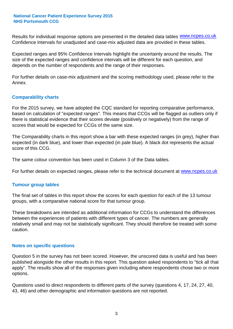Results for individual response options are presented in the detailed data tables **WWW.ncpes.co.uk** Confidence Intervals for unadjusted and case-mix adjusted data are provided in these tables.

Expected ranges and 95% Confidence Intervals highlight the uncertainty around the results. The size of the expected ranges and confidence intervals will be different for each question, and depends on the number of respondents and the range of their responses.

For further details on case-mix adjustment and the scoring methodology used, please refer to the Annex.

#### **Comparability charts**

For the 2015 survey, we have adopted the CQC standard for reporting comparative performance, based on calculation of "expected ranges". This means that CCGs will be flagged as outliers only if there is statistical evidence that their scores deviate (positively or negatively) from the range of scores that would be expected for CCGs of the same size.

The Comparability charts in this report show a bar with these expected ranges (in grey), higher than expected (in dark blue), and lower than expected (in pale blue). A black dot represents the actual score of this CCG.

The same colour convention has been used in Column 3 of the Data tables.

For further details on expected ranges, please refer to the technical document at **www.ncpes.co.uk** 

#### **Tumour group tables**

The final set of tables in this report show the scores for each question for each of the 13 tumour groups, with a comparative national score for that tumour group.

These breakdowns are intended as additional information for CCGs to understand the differences between the experiences of patients with different types of cancer. The numbers are generally relatively small and may not be statistically significant. They should therefore be treated with some caution.

#### **Notes on specific questions**

Question 5 in the survey has not been scored. However, the unscored data is useful and has been published alongside the other results in this report. This question asked respondents to "tick all that apply". The results show all of the responses given including where respondents chose two or more options.

Questions used to direct respondents to different parts of the survey (questions 4, 17, 24, 27, 40, 43, 46) and other demographic and information questions are not reported.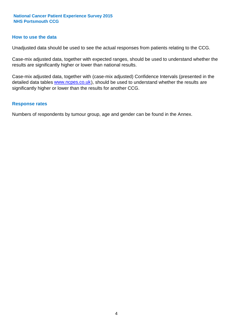#### **How to use the data**

Unadjusted data should be used to see the actual responses from patients relating to the CCG.

Case-mix adjusted data, together with expected ranges, should be used to understand whether the results are significantly higher or lower than national results.

Case-mix adjusted data, together with (case-mix adjusted) Confidence Intervals (presented in the detailed data tables **www.ncpes.co.uk**), should be used to understand whether the results are significantly higher or lower than the results for another CCG.

#### **Response rates**

Numbers of respondents by tumour group, age and gender can be found in the Annex.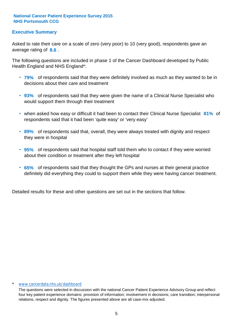### **Executive Summary**

average rating of 8.6. Asked to rate their care on a scale of zero (very poor) to 10 (very good), respondents gave an

The following questions are included in phase 1 of the Cancer Dashboard developed by Public Health England and NHS England\*:

- **79%** of respondents said that they were definitely involved as much as they wanted to be in decisions about their care and treatment
- **93%** of respondents said that they were given the name of a Clinical Nurse Specialist who would support them through their treatment
- when asked how easy or difficult it had been to contact their Clinical Nurse Specialist 81% of respondents said that it had been 'quite easy' or 'very easy'
- **89%** of respondents said that, overall, they were always treated with dignity and respect they were in hospital
- **95%** of respondents said that hospital staff told them who to contact if they were worried about their condition or treatment after they left hospital
- **65%** of respondents said that they thought the GPs and nurses at their general practice definitely did everything they could to support them while they were having cancer treatment.

Detailed results for these and other questions are set out in the sections that follow.

#### \* www.cancerdata.nhs.uk/dashboard

The questions were selected in discussion with the national Cancer Patient Experience Advisory Group and reflect four key patient experience domains: provision of information; involvement in decisions; care transition; interpersonal relations, respect and dignity. The figures presented above are all case-mix adjusted.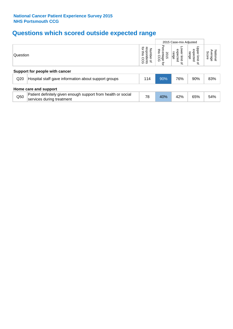# **Questions which scored outside expected range**

|                                |                                                                                            |                                                             |                                               |                                       | 2015 Case-mix Adjusted                |                              |  |  |  |
|--------------------------------|--------------------------------------------------------------------------------------------|-------------------------------------------------------------|-----------------------------------------------|---------------------------------------|---------------------------------------|------------------------------|--|--|--|
| Question                       |                                                                                            | ਕ੍ਰੋ<br>శె<br>Number<br>pondents<br>sins<br>600<br>$\Omega$ | Perc<br>this<br>entage<br>is CCG<br>2015<br>ą | Lower limit<br>expected<br>range<br>Չ | Upper limit<br>expected<br>range<br>₽ | National<br>Average<br>Score |  |  |  |
| Support for people with cancer |                                                                                            |                                                             |                                               |                                       |                                       |                              |  |  |  |
| Q <sub>20</sub>                | Hospital staff gave information about support groups                                       | 114                                                         | 90%                                           | 76%                                   | 90%                                   | 83%                          |  |  |  |
|                                | Home care and support                                                                      |                                                             |                                               |                                       |                                       |                              |  |  |  |
| Q50                            | Patient definitely given enough support from health or social<br>services during treatment | 78                                                          | 40%                                           | 42%                                   | 65%                                   | 54%                          |  |  |  |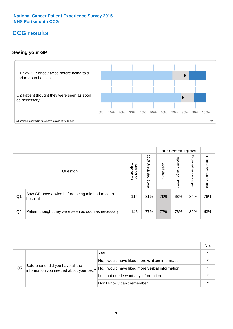# **CCG results**

### **Seeing your GP**



|    |                                                                |                                         |                             |               | 2015 Case-mix Adjusted     |                            |                           |
|----|----------------------------------------------------------------|-----------------------------------------|-----------------------------|---------------|----------------------------|----------------------------|---------------------------|
|    | Question                                                       | respondents<br>Number<br>$\overline{a}$ | 2015<br>Unadjusted<br>Score | 2015<br>Score | Expected<br>range<br>lower | Expected<br>range<br>nbber | National Average<br>Score |
| Q1 | Saw GP once / twice before being told had to go to<br>hospital | 114                                     | 81%                         | 79%           | 68%                        | 84%                        | 76%                       |
| Q2 | Patient thought they were seen as soon as necessary            | 146                                     | 77%                         | 77%           | 76%                        | 89%                        | 82%                       |

|    |                                                                             |                                                 | No.     |
|----|-----------------------------------------------------------------------------|-------------------------------------------------|---------|
|    | Beforehand, did you have all the<br>information you needed about your test? | Yes                                             | $\star$ |
|    |                                                                             | No, I would have liked more written information |         |
| Q5 |                                                                             | No, I would have liked more verbal information  | *       |
|    |                                                                             | I did not need / want any information           | $\star$ |
|    |                                                                             | Don't know / can't remember                     |         |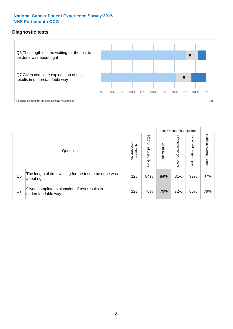### **Diagnostic tests**



|                |                                                                       |                                   |                             |               | 2015 Case-mix Adjusted  |                         |                           |
|----------------|-----------------------------------------------------------------------|-----------------------------------|-----------------------------|---------------|-------------------------|-------------------------|---------------------------|
|                | Question                                                              | respondents<br>Number<br>$\Omega$ | 2015<br>Unadjusted<br>Score | 2015<br>Score | Expected range<br>lower | Expected range<br>nbber | National Average<br>Score |
| Q <sub>6</sub> | The length of time waiting for the test to be done was<br>about right | 128                               | 84%                         | 84%           | 81%                     | 92%                     | 87%                       |
| Q7             | Given complete explanation of test results in<br>understandable way   | 123                               | 78%                         | 79%           | 72%                     | 86%                     | 79%                       |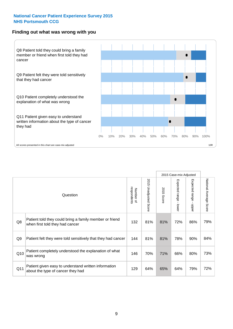#### **Finding out what was wrong with you**



|                |                                                                                            |                          |                                 |                      | 2015 Case-mix Adjusted                    |                                         |                        |
|----------------|--------------------------------------------------------------------------------------------|--------------------------|---------------------------------|----------------------|-------------------------------------------|-----------------------------------------|------------------------|
|                | Question                                                                                   | respondents<br>Number of | 2015<br><b>Unadjusted Score</b> | 2015<br><b>Score</b> | Expected range<br>$\blacksquare$<br>lower | Expected range<br>$\blacksquare$<br>ddo | National Average Score |
| Q8             | Patient told they could bring a family member or friend<br>when first told they had cancer | 132                      | 81%                             | 81%                  | 72%                                       | 86%                                     | 79%                    |
| Q <sub>9</sub> | Patient felt they were told sensitively that they had cancer                               | 144                      | 81%                             | 81%                  | 78%                                       | 90%                                     | 84%                    |
| Q10            | Patient completely understood the explanation of what<br>was wrong                         | 146                      | 70%                             | 71%                  | 66%                                       | 80%                                     | 73%                    |
| Q11            | Patient given easy to understand written information<br>about the type of cancer they had  | 129                      | 64%                             | 65%                  | 64%                                       | 79%                                     | 72%                    |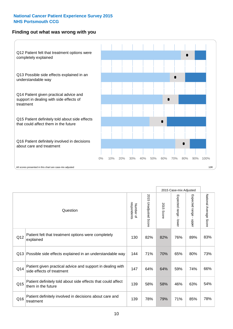### **Finding out what was wrong with you**



|          |                                                                                         |                          |                                 |               | 2015 Case-mix Adjusted                  |                        |                        |
|----------|-----------------------------------------------------------------------------------------|--------------------------|---------------------------------|---------------|-----------------------------------------|------------------------|------------------------|
| Question |                                                                                         | Number of<br>respondents | 2015<br><b>Unadjusted Score</b> | 2015<br>Score | Expected range<br>$\mathbf{r}$<br>lower | Expected range - upper | National Average Score |
| Q12      | Patient felt that treatment options were completely<br>explained                        | 130                      | 82%                             | 82%           | 76%                                     | 89%                    | 83%                    |
| Q13      | Possible side effects explained in an understandable way                                | 144                      | 71%                             | 70%           | 65%                                     | 80%                    | 73%                    |
| Q14      | Patient given practical advice and support in dealing with<br>side effects of treatment | 147                      | 64%                             | 64%           | 59%                                     | 74%                    | 66%                    |
| Q15      | Patient definitely told about side effects that could affect<br>them in the future      | 139                      | 58%                             | 58%           | 46%                                     | 63%                    | 54%                    |
| Q16      | Patient definitely involved in decisions about care and<br>treatment                    | 139                      | 78%                             | 79%           | 71%                                     | 85%                    | 78%                    |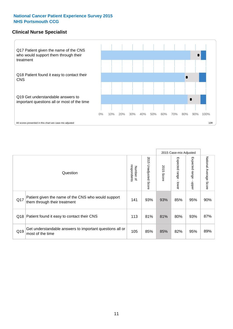#### **Clinical Nurse Specialist**



|     |                                                                                     |                          |                       |               | 2015 Case-mix Adjusted  |                         |                                  |
|-----|-------------------------------------------------------------------------------------|--------------------------|-----------------------|---------------|-------------------------|-------------------------|----------------------------------|
|     | Question                                                                            | respondents<br>Number of | 2015 Unadjusted Score | 2015<br>Score | Expected range<br>lower | Expected range<br>nbber | National Average<br><b>Score</b> |
| Q17 | Patient given the name of the CNS who would support<br>them through their treatment | 141                      | 93%                   | 93%           | 85%                     | 95%                     | 90%                              |
| Q18 | Patient found it easy to contact their CNS                                          | 113                      | 81%                   | 81%           | 80%                     | 93%                     | 87%                              |
| Q19 | Get understandable answers to important questions all or<br>most of the time        | 105                      | 85%                   | 85%           | 82%                     | 95%                     | 89%                              |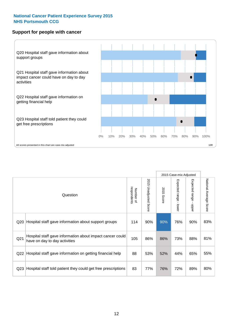#### **Support for people with cancer**



|                 |                                                                                            |                          |                                 |               | 2015 Case-mix Adjusted                  |                           |                        |
|-----------------|--------------------------------------------------------------------------------------------|--------------------------|---------------------------------|---------------|-----------------------------------------|---------------------------|------------------------|
|                 | Question                                                                                   | respondents<br>Number of | 2015<br><b>Unadjusted Score</b> | 2015<br>Score | Expected range<br>$\mathbf{r}$<br>lower | Expected range -<br>nbber | National Average Score |
| Q20             | Hospital staff gave information about support groups                                       | 114                      | 90%                             | 90%           | 76%                                     | 90%                       | 83%                    |
| Q <sub>21</sub> | Hospital staff gave information about impact cancer could<br>have on day to day activities | 105                      | 86%                             | 86%           | 73%                                     | 88%                       | 81%                    |
| Q22             | Hospital staff gave information on getting financial help                                  | 88                       | 53%                             | 52%           | 44%                                     | 65%                       | 55%                    |
| Q <sub>23</sub> | Hospital staff told patient they could get free prescriptions                              | 83                       | 77%                             | 76%           | 72%                                     | 89%                       | 80%                    |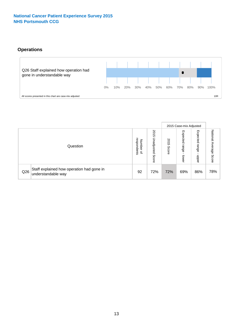### **Operations**



|     |                                                                 |                                              |                             | 2015 Case-mix Adjusted |                            |                            |                              |
|-----|-----------------------------------------------------------------|----------------------------------------------|-----------------------------|------------------------|----------------------------|----------------------------|------------------------------|
|     | Question                                                        | respondents<br>Number<br>$\overline{\sigma}$ | 2015<br>Unadjusted<br>Score | 8<br>∸<br>CΠ<br>Score  | Expected<br>range<br>lower | Expected<br>range<br>doper | National<br>Average<br>Score |
| Q26 | Staff explained how operation had gone in<br>understandable way | 92                                           | 72%                         | 72%                    | 69%                        | 86%                        | 78%                          |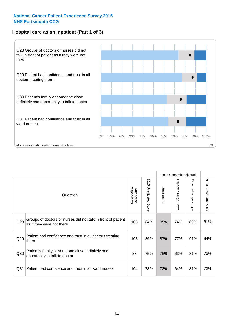### **Hospital care as an inpatient (Part 1 of 3)**



All scores presented in this chart are case-mix adjusted  $10R$ 

|                 |                                                                                           |                          |                          |                      | 2015 Case-mix Adjusted                    |                                       |                        |
|-----------------|-------------------------------------------------------------------------------------------|--------------------------|--------------------------|----------------------|-------------------------------------------|---------------------------------------|------------------------|
|                 | Question                                                                                  | respondents<br>Number of | 2015<br>Unadjusted Score | 2015<br><b>Score</b> | Expected range<br>$\blacksquare$<br>lower | Expected range<br>$\mathbf{I}$<br>ddo | National Average Score |
| Q28             | Groups of doctors or nurses did not talk in front of patient<br>as if they were not there | 103                      | 84%                      | 85%                  | 74%                                       | 89%                                   | 81%                    |
| Q29             | Patient had confidence and trust in all doctors treating<br>them                          | 103                      | 86%                      | 87%                  | 77%                                       | 91%                                   | 84%                    |
| Q30             | Patient's family or someone close definitely had<br>opportunity to talk to doctor         | 88                       | 75%                      | 76%                  | 63%                                       | 81%                                   | 72%                    |
| Q <sub>31</sub> | Patient had confidence and trust in all ward nurses                                       | 104                      | 73%                      | 73%                  | 64%                                       | 81%                                   | 72%                    |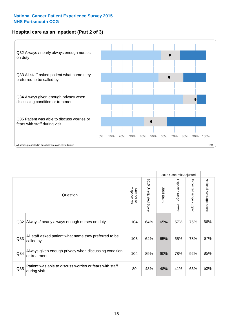### **Hospital care as an inpatient (Part 2 of 3)**



|     |                                                                         |                          |                             |               | 2015 Case-mix Adjusted |                                             |                           |
|-----|-------------------------------------------------------------------------|--------------------------|-----------------------------|---------------|------------------------|---------------------------------------------|---------------------------|
|     | Question                                                                | respondents<br>Number of | 2015<br>Unadjusted<br>Score | 2015<br>Score | Expected range - lower | Expected range<br>$\blacksquare$<br>- nbbeL | National Average<br>Score |
| Q32 | Always / nearly always enough nurses on duty                            | 104                      | 64%                         | 65%           | 57%                    | 75%                                         | 66%                       |
| Q33 | All staff asked patient what name they preferred to be<br>called by     | 103                      | 64%                         | 65%           | 55%                    | 78%                                         | 67%                       |
| Q34 | Always given enough privacy when discussing condition<br>or treatment   | 104                      | 89%                         | 90%           | 78%                    | 92%                                         | 85%                       |
| Q35 | Patient was able to discuss worries or fears with staff<br>during visit | 80                       | 48%                         | 48%           | 41%                    | 63%                                         | 52%                       |
|     |                                                                         |                          |                             |               |                        |                                             |                           |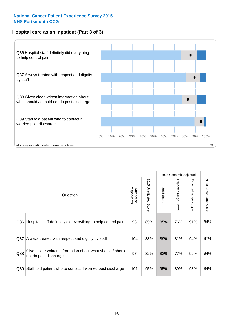### **Hospital care as an inpatient (Part 3 of 3)**



|                 |                                                                                     |                          |                                 |               | 2015 Case-mix Adjusted                    |                        |                        |
|-----------------|-------------------------------------------------------------------------------------|--------------------------|---------------------------------|---------------|-------------------------------------------|------------------------|------------------------|
|                 | Question                                                                            | respondents<br>Number of | 2015<br><b>Unadjusted Score</b> | 2015<br>Score | Expected range<br>$\blacksquare$<br>lower | Expected range - upper | National Average Score |
| Q36             | Hospital staff definitely did everything to help control pain                       | 93                       | 85%                             | 85%           | 76%                                       | 91%                    | 84%                    |
| Q <sub>37</sub> | Always treated with respect and dignity by staff                                    | 104                      | 88%                             | 89%           | 81%                                       | 94%                    | 87%                    |
| Q38             | Given clear written information about what should / should<br>not do post discharge | 97                       | 82%                             | 82%           | 77%                                       | 92%                    | 84%                    |
| Q <sub>39</sub> | Staff told patient who to contact if worried post discharge                         | 101                      | 95%                             | 95%           | 89%                                       | 98%                    | 94%                    |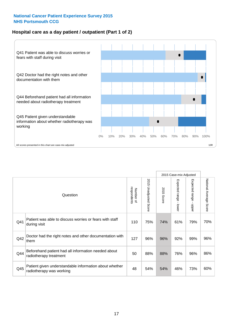### **Hospital care as a day patient / outpatient (Part 1 of 2)**



|     |                                                                                    |                          |                                 |                      | 2015 Case-mix Adjusted                  |                                         |                        |
|-----|------------------------------------------------------------------------------------|--------------------------|---------------------------------|----------------------|-----------------------------------------|-----------------------------------------|------------------------|
|     | Question                                                                           | respondents<br>Number of | 2015<br><b>Unadjusted Score</b> | 2015<br><b>Score</b> | Expected range<br>$\mathbf{I}$<br>lower | Expected range<br>$\mathbf{I}$<br>nbber | National Average Score |
| Q41 | Patient was able to discuss worries or fears with staff<br>during visit            | 110                      | 75%                             | 74%                  | 61%                                     | 79%                                     | 70%                    |
| Q42 | Doctor had the right notes and other documentation with<br>them                    | 127                      | 96%                             | 96%                  | 92%                                     | 99%                                     | 96%                    |
| Q44 | Beforehand patient had all information needed about<br>radiotherapy treatment      | 50                       | 88%                             | 88%                  | 76%                                     | 96%                                     | 86%                    |
| Q45 | Patient given understandable information about whether<br>radiotherapy was working | 48                       | 54%                             | 54%                  | 46%                                     | 73%                                     | 60%                    |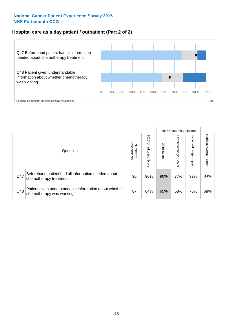### **Hospital care as a day patient / outpatient (Part 2 of 2)**



|     |                                                                                    |                                       |                             | 2015 Case-mix Adjusted |                              |                         |                           |
|-----|------------------------------------------------------------------------------------|---------------------------------------|-----------------------------|------------------------|------------------------------|-------------------------|---------------------------|
|     | Question                                                                           | respondents<br>Number<br>$\mathbf{Q}$ | 2015<br>Unadjusted<br>Score | 2015<br>Score          | Expected<br>I range<br>lower | Expected range<br>doper | National Average<br>Score |
| Q47 | Beforehand patient had all information needed about<br>chemotherapy treatment      | 90                                    | 90%                         | 90%                    | 77%                          | 92%                     | 84%                       |
| Q48 | Patient given understandable information about whether<br>chemotherapy was working | 87                                    | 64%                         | 65%                    | 58%                          | 78%                     | 68%                       |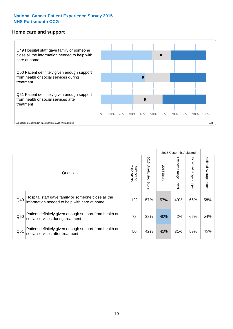#### **Home care and support**



All scores presented in this chart are case-mix adjusted

|                 |                                                                                                     |                          |                       | 2015 Case-mix Adjusted |                         |                         |                           |
|-----------------|-----------------------------------------------------------------------------------------------------|--------------------------|-----------------------|------------------------|-------------------------|-------------------------|---------------------------|
|                 | Question                                                                                            | respondents<br>Number of | 2015 Unadjusted Score | 2015<br>Score          | Expected range<br>lower | Expected range<br>nbber | National Average<br>Score |
| Q49             | Hospital staff gave family or someone close all the<br>information needed to help with care at home | 122                      | 57%                   | 57%                    | 49%                     | 66%                     | 58%                       |
| Q50             | Patient definitely given enough support from health or<br>social services during treatment          | 78                       | 38%                   | 40%                    | 42%                     | 65%                     | 54%                       |
| Q <sub>51</sub> | Patient definitely given enough support from health or<br>social services after treatment           | 50                       | 42%                   | 41%                    | 31%                     | 59%                     | 45%                       |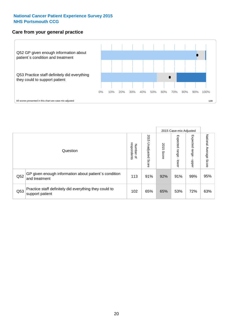#### **Care from your general practice**



|     |                                                                           |                                       |                             | 2015 Case-mix Adjusted |                                   |                            |                           |
|-----|---------------------------------------------------------------------------|---------------------------------------|-----------------------------|------------------------|-----------------------------------|----------------------------|---------------------------|
|     | Question                                                                  | respondents<br>Number<br>$\mathbf{Q}$ | 2015<br>Unadjusted<br>Score | 2015<br>Score          | Expected<br><b>Lange</b><br>lower | Expected<br>range<br>doper | National Average<br>Score |
| Q52 | GP given enough information about patient's condition<br>and treatment    | 113                                   | 91%                         | 92%                    | 91%                               | 99%                        | 95%                       |
| Q53 | Practice staff definitely did everything they could to<br>support patient | 102                                   | 65%                         | 65%                    | 53%                               | 72%                        | 63%                       |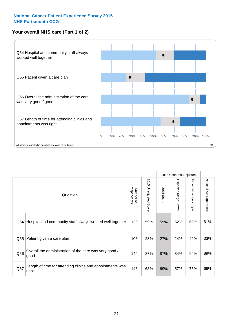### **Your overall NHS care (Part 1 of 2)**



|     |                                                                    |                          |                                 | 2015 Case-mix Adjusted |                                           |                                           |                        |
|-----|--------------------------------------------------------------------|--------------------------|---------------------------------|------------------------|-------------------------------------------|-------------------------------------------|------------------------|
|     | Question                                                           | respondents<br>Number of | 2015<br><b>Unadjusted Score</b> | 2015<br>Score          | Expected range<br>$\blacksquare$<br>lower | Expected range<br>$\blacksquare$<br>nbber | National Average Score |
| Q54 | Hospital and community staff always worked well together           | 139                      | 59%                             | 59%                    | 52%                                       | 69%                                       | 61%                    |
| Q55 | Patient given a care plan                                          | 105                      | 28%                             | 27%                    | 24%                                       | 42%                                       | 33%                    |
| Q56 | Overall the administration of the care was very good /<br>good     | 144                      | 87%                             | 87%                    | 84%                                       | 94%                                       | 89%                    |
| Q57 | Length of time for attending clinics and appointments was<br>right | 146                      | 68%                             | 69%                    | 57%                                       | 75%                                       | 66%                    |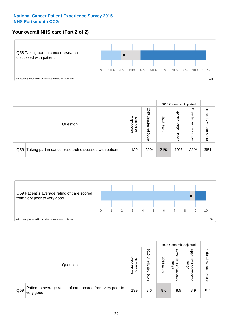### **Your overall NHS care (Part 2 of 2)**



|     |                                                       |                                              |                             |               |                            | 2015 Case-mix Adjusted     |                        |
|-----|-------------------------------------------------------|----------------------------------------------|-----------------------------|---------------|----------------------------|----------------------------|------------------------|
|     | Question                                              | respondents<br>Number<br>$\overline{\sigma}$ | 2015<br>Inadjusted<br>Score | 2015<br>Score | Expected<br>range<br>lower | Expected<br>range<br>doper | National Average Score |
| Q58 | Taking part in cancer research discussed with patient | 139                                          | 22%                         | 21%           | 19%                        | 38%                        | 28%                    |



|     |                                                                        |                                              |                             |               |                                         | 2015 Case-mix Adjusted                          |                        |
|-----|------------------------------------------------------------------------|----------------------------------------------|-----------------------------|---------------|-----------------------------------------|-------------------------------------------------|------------------------|
|     | Question                                                               | respondents<br>Number<br>$\overline{\sigma}$ | 2015<br>Unadjusted<br>Score | 2015<br>Score | OWer<br>limit<br>range<br>٩<br>expected | Upper<br>jimit<br>range<br>$\Omega$<br>expected | National Average Score |
| Q59 | Patient's average rating of care scored from very poor to<br>very good | 139                                          | 8.6                         | 8.6           | 8.5                                     | 8.9                                             | 8.7                    |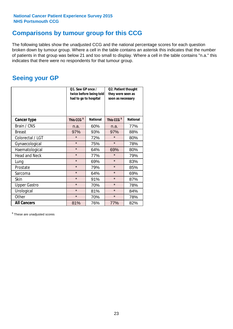# **Comparisons by tumour group for this CCG**

The following tables show the unadjusted CCG and the national percentage scores for each question broken down by tumour group. Where a cell in the table contains an asterisk this indicates that the number of patients in that group was below 21 and too small to display. Where a cell in the table contains "n.a." this indicates that there were no respondents for that tumour group.

## **Seeing your GP**

|                      | Q1. Saw GP once /<br>had to go to hospital | twice before being told | Q2. Patient thought<br>they were seen as<br>soon as necessary |                 |  |
|----------------------|--------------------------------------------|-------------------------|---------------------------------------------------------------|-----------------|--|
| <b>Cancer type</b>   | This CCG <sup>\$</sup>                     | <b>National</b>         | This CCG <sup>\$</sup>                                        | <b>National</b> |  |
| Brain / CNS          | n.a.                                       | 60%                     | n.a.                                                          | 77%             |  |
| <b>Breast</b>        | 97%                                        | 93%                     | 97%                                                           | 88%             |  |
| Colorectal / LGT     | $\star$                                    | 72%                     | $\star$                                                       | 80%             |  |
| Gynaecological       | $\star$                                    | 75%                     | $\star$                                                       | 78%             |  |
| Haematological       | $\star$                                    | 64%                     | 69%                                                           | 80%             |  |
| <b>Head and Neck</b> | $\star$                                    | 77%                     | $\star$                                                       | 79%             |  |
| Lung                 | $\star$                                    | 69%                     | $\star$                                                       | 83%             |  |
| Prostate             | $\star$                                    | 79%                     | $\star$                                                       | 85%             |  |
| Sarcoma              | $\star$                                    | 64%                     | $\star$                                                       | 69%             |  |
| Skin                 | $\star$                                    | 91%                     | $\star$                                                       | 87%             |  |
| <b>Upper Gastro</b>  | $\star$                                    | 70%                     | $\star$                                                       | 78%             |  |
| Urological           | $\star$                                    | 81%                     | $\star$                                                       | 84%             |  |
| Other                | $\star$<br>70%                             |                         | $\star$                                                       | 78%             |  |
| <b>All Cancers</b>   | 81%                                        | 76%                     | 77%                                                           | 82%             |  |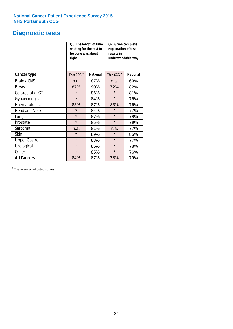# **Diagnostic tests**

|                      | be done was about<br>right | Q6. The length of time<br>waiting for the test to | Q7. Given complete<br>explanation of test<br>results in<br>understandable way |                 |  |
|----------------------|----------------------------|---------------------------------------------------|-------------------------------------------------------------------------------|-----------------|--|
| <b>Cancer type</b>   | This CCG <sup>\$</sup>     | <b>National</b>                                   | This CCG <sup>\$</sup>                                                        | <b>National</b> |  |
| Brain / CNS          | n.a.                       | 87%                                               | n.a.                                                                          | 69%             |  |
| <b>Breast</b>        | 87%                        | 90%                                               | 72%                                                                           | 82%             |  |
| Colorectal / LGT     | $\star$                    | 86%                                               | $\star$                                                                       | 81%             |  |
| Gynaecological       | $\star$                    | 84%                                               | $\star$                                                                       | 76%             |  |
| Haematological       | 83%                        | 87%                                               | 83%                                                                           | 76%             |  |
| <b>Head and Neck</b> | $\star$                    | 84%                                               | $\star$                                                                       | 77%             |  |
| Lung                 | $\star$                    | 87%                                               | $\star$                                                                       | 78%             |  |
| Prostate             | $\star$                    | 85%                                               | $\star$                                                                       | 79%             |  |
| Sarcoma              | n.a.                       | 81%                                               | n.a.                                                                          | 77%             |  |
| Skin                 | $\star$                    | 89%                                               | $\star$                                                                       | 85%             |  |
| <b>Upper Gastro</b>  | $\star$                    | 83%                                               | $\star$                                                                       | 77%             |  |
| Urological           | $\star$                    | 85%                                               | $\star$                                                                       | 78%             |  |
| Other                | $\star$<br>85%             |                                                   | $\star$                                                                       | 76%             |  |
| <b>All Cancers</b>   | 84%                        | 87%                                               | 78%                                                                           | 79%             |  |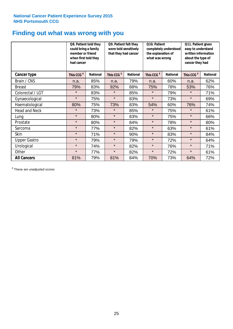# **Finding out what was wrong with you**

|                      | Q8. Patient told they<br>could bring a family<br>member or friend<br>when first told they<br>had cancer |                 | Q9. Patient felt they<br>were told sensitively<br>that they had cancer |                 | Q10. Patient<br>completely understood<br>the explanation of<br>what was wrong |                 | Q11. Patient given<br>easy to understand<br>written information<br>about the type of<br>cancer they had |                 |
|----------------------|---------------------------------------------------------------------------------------------------------|-----------------|------------------------------------------------------------------------|-----------------|-------------------------------------------------------------------------------|-----------------|---------------------------------------------------------------------------------------------------------|-----------------|
| Cancer type          | This CCG <sup>\$</sup>                                                                                  | <b>National</b> | This CCG <sup>\$</sup>                                                 | <b>National</b> | This CCG <sup>\$</sup>                                                        | <b>National</b> | This CCG <sup>\$</sup>                                                                                  | <b>National</b> |
| Brain / CNS          | n.a.                                                                                                    | 85%             | n.a.                                                                   | 79%             | n.a.                                                                          | 60%             | n.a.                                                                                                    | 62%             |
| <b>Breast</b>        | 79%                                                                                                     | 83%             | 92%                                                                    | 88%             | 75%                                                                           | 78%             | 53%                                                                                                     | 76%             |
| Colorectal / LGT     | $\star$                                                                                                 | 83%             | $\star$                                                                | 85%             | $\star$                                                                       | 79%             | $\star$                                                                                                 | 71%             |
| Gynaecological       | $\star$                                                                                                 | 75%             | $\star$                                                                | 83%             | $\star$                                                                       | 73%             | $\star$                                                                                                 | 69%             |
| Haematological       | 80%                                                                                                     | 75%             | 73%                                                                    | 83%             | 54%                                                                           | 60%             | 76%                                                                                                     | 74%             |
| <b>Head and Neck</b> | $\star$                                                                                                 | 73%             | $\star$                                                                | 85%             | $\star$                                                                       | 75%             | $\star$                                                                                                 | 61%             |
| Lung                 | $\star$                                                                                                 | 80%             | $\star$                                                                | 83%             | $\star$                                                                       | 75%             | $\star$                                                                                                 | 66%             |
| Prostate             | $\star$                                                                                                 | 80%             | $\star$                                                                | 84%             | $\star$                                                                       | 78%             | $\star$                                                                                                 | 80%             |
| Sarcoma              | $\star$                                                                                                 | 77%             | $\star$                                                                | 82%             | $\star$                                                                       | 63%             | $\star$                                                                                                 | 61%             |
| Skin                 | $\star$                                                                                                 | 71%             | $\star$                                                                | 90%             | $\star$                                                                       | 83%             | $\star$                                                                                                 | 84%             |
| <b>Upper Gastro</b>  | $\star$                                                                                                 | 79%             | $\star$                                                                | 79%             | $\star$                                                                       | 72%             | $\star$                                                                                                 | 64%             |
| Urological           | $\star$                                                                                                 | 74%             | $\star$                                                                | 82%             | $\star$                                                                       | 76%             | $\star$                                                                                                 | 71%             |
| Other                | $\star$                                                                                                 | 77%             | $\star$                                                                | 82%             | $\star$                                                                       | 72%             | $\star$                                                                                                 | 61%             |
| <b>All Cancers</b>   | 81%                                                                                                     | 79%             | 81%                                                                    | 84%             | 70%                                                                           | 73%             | 64%                                                                                                     | 72%             |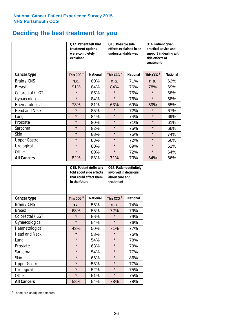# **Deciding the best treatment for you**

|                      | treatment options<br>were completely<br>explained | <b>O12. Patient felt that</b> | O13. Possible side<br>understandable way | effects explained in an | Q14. Patient given<br>practical advice and<br>support in dealing with<br>side effects of<br>treatment |                 |  |
|----------------------|---------------------------------------------------|-------------------------------|------------------------------------------|-------------------------|-------------------------------------------------------------------------------------------------------|-----------------|--|
| <b>Cancer type</b>   | This CCG <sup>\$</sup>                            | <b>National</b>               | This CCG <sup>\$</sup>                   | <b>National</b>         | This CCG <sup>\$</sup>                                                                                | <b>National</b> |  |
| Brain / CNS          | n.a.                                              | 80%                           | n.a.                                     | 71%                     | n.a.                                                                                                  | 62%             |  |
| <b>Breast</b>        | 91%                                               | 84%                           | 84%                                      | 76%                     | 78%                                                                                                   | 69%             |  |
| Colorectal / LGT     | $\star$                                           | 85%                           | $\star$                                  | 75%                     | $\star$                                                                                               | 68%             |  |
| Gynaecological       | $\star$                                           | 84%                           | $\star$                                  | 76%                     | $\star$                                                                                               | 68%             |  |
| Haematological       | 78%                                               | 81%                           | 63%                                      | 69%                     | 59%                                                                                                   | 65%             |  |
| <b>Head and Neck</b> | $\star$                                           | 85%                           | $\star$                                  | 72%                     | $\star$                                                                                               | 67%             |  |
| Lung                 | $\star$                                           | 84%                           | $\star$                                  | 74%                     | $\star$                                                                                               | 69%             |  |
| Prostate             | $\star$                                           | 80%                           | $\star$                                  | 71%                     | $\star$                                                                                               | 61%             |  |
| Sarcoma              | $\star$                                           | 82%                           | $\star$                                  | 75%                     | $\star$                                                                                               | 66%             |  |
| Skin                 | $\star$                                           | 88%                           | $\star$                                  | 75%                     | $\star$                                                                                               | 74%             |  |
| <b>Upper Gastro</b>  | $\star$                                           | 83%                           | $\star$                                  | 72%                     | $\star$                                                                                               | 66%             |  |
| Urological           | $\star$                                           | 80%                           | $\star$                                  | 69%                     | $\star$                                                                                               | 61%             |  |
| Other                | $\star$                                           | 80%                           | $\star$                                  | 72%                     | $\star$                                                                                               | 64%             |  |
| <b>All Cancers</b>   | 82%                                               | 83%                           | 71%                                      | 73%                     | 64%                                                                                                   | 66%             |  |

|                      | in the future          | Q15. Patient definitely<br>told about side effects<br>that could affect them | Q16. Patient definitely<br>involved in decisions<br>about care and<br>treatment |                 |  |
|----------------------|------------------------|------------------------------------------------------------------------------|---------------------------------------------------------------------------------|-----------------|--|
| <b>Cancer type</b>   | This CCG <sup>\$</sup> | <b>National</b>                                                              | This CCG <sup>\$</sup>                                                          | <b>National</b> |  |
| Brain / CNS          | n.a.                   | 56%                                                                          | n.a.                                                                            | 74%             |  |
| <b>Breast</b>        | 68%                    | 55%                                                                          | 72%                                                                             | 79%             |  |
| Colorectal / LGT     | $\star$                | 56%                                                                          | $\star$                                                                         | 79%             |  |
| Gynaecological       | $\star$<br>54%         |                                                                              | $\star$                                                                         | 76%             |  |
| Haematological       | 43%                    | 50%                                                                          | 71%                                                                             | 77%             |  |
| <b>Head and Neck</b> | $\star$                | 58%                                                                          | $\star$                                                                         | 76%             |  |
| Lung                 | $\star$                | 54%                                                                          | $\star$                                                                         | 78%             |  |
| Prostate             | $\star$                | 63%                                                                          | $\star$                                                                         | 79%             |  |
| Sarcoma              | $\star$                | 54%                                                                          | $\star$                                                                         | 77%             |  |
| Skin                 | $\star$                | 66%                                                                          | $\star$                                                                         | 86%             |  |
| <b>Upper Gastro</b>  | $\star$                | 53%                                                                          | $\star$                                                                         | 77%             |  |
| Urological           | $\star$                | 52%                                                                          | $\star$                                                                         | 75%             |  |
| Other                | $\star$                | 51%                                                                          | $\star$                                                                         | 75%             |  |
| <b>All Cancers</b>   | 58%                    | 54%                                                                          | 78%                                                                             | 78%             |  |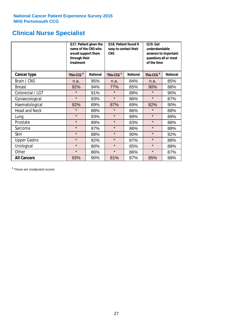# **Clinical Nurse Specialist**

|                      | would support them<br>through their<br>treatment | Q17. Patient given the<br>name of the CNS who | Q18. Patient found it<br>easy to contact their<br><b>CNS</b> |     | <b>Q19. Get</b><br>understandable<br>answers to important<br>questions all or most<br>of the time |                 |
|----------------------|--------------------------------------------------|-----------------------------------------------|--------------------------------------------------------------|-----|---------------------------------------------------------------------------------------------------|-----------------|
| <b>Cancer type</b>   | This CCG <sup>\$</sup>                           | <b>National</b>                               | This CCG <sup>\$</sup><br><b>National</b>                    |     | This CCG <sup>\$</sup>                                                                            | <b>National</b> |
| Brain / CNS          | n.a.                                             | 95%                                           | n.a.                                                         | 84% | n.a.                                                                                              | 85%             |
| <b>Breast</b>        | 92%                                              | 94%                                           | 77%                                                          | 85% | 90%                                                                                               | 88%             |
| Colorectal / LGT     | $\star$                                          | 91%                                           | $\star$                                                      | 88% | $\star$                                                                                           | 90%             |
| Gynaecological       | $\star$                                          | 93%                                           | $\star$                                                      | 86% | $\star$                                                                                           | 87%             |
| Haematological       | 92%                                              | 89%                                           | 87%<br>89%                                                   |     | 82%                                                                                               | 90%             |
| <b>Head and Neck</b> | $\star$                                          | 88%                                           | $\star$                                                      | 86% | $\star$                                                                                           | 88%             |
| Lung                 | $\star$                                          | 93%                                           | $\star$                                                      | 89% | $\star$                                                                                           | 89%             |
| Prostate             | $\star$                                          | 89%                                           | $\star$                                                      | 83% | $\star$                                                                                           | 88%             |
| Sarcoma              | $\star$                                          | 87%                                           | $\star$                                                      | 86% | $\star$                                                                                           | 88%             |
| Skin                 | $\star$                                          | 88%                                           | $\star$                                                      | 90% | $\star$                                                                                           | 92%             |
| <b>Upper Gastro</b>  | $\star$                                          | 92%                                           | $\star$                                                      | 87% | $\star$                                                                                           | 88%             |
| Urological           | $\star$                                          | 80%                                           | $\star$                                                      | 85% | $\star$                                                                                           | 88%             |
| Other                | $\star$                                          | 86%                                           | $\star$                                                      | 86% | $\star$                                                                                           | 87%             |
| <b>All Cancers</b>   | 93%                                              | 90%                                           | 81%                                                          | 87% | 85%                                                                                               | 88%             |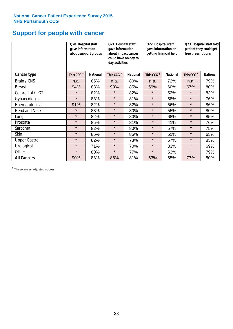# **Support for people with cancer**

|                      | Q20. Hospital staff<br>gave information | about support groups | Q21. Hospital staff<br>gave information<br>about impact cancer<br>could have on day to<br>day activities |                 | Q22. Hospital staff<br>gave information on<br>getting financial help |                 | Q23. Hospital staff told<br>patient they could get<br>free prescriptions |                 |
|----------------------|-----------------------------------------|----------------------|----------------------------------------------------------------------------------------------------------|-----------------|----------------------------------------------------------------------|-----------------|--------------------------------------------------------------------------|-----------------|
| Cancer type          | This CCG <sup>\$</sup>                  | <b>National</b>      | This CCG <sup>\$</sup>                                                                                   | <b>National</b> | This CCG <sup>\$</sup>                                               | <b>National</b> | This CCG <sup>\$</sup>                                                   | <b>National</b> |
| Brain / CNS          | n.a.                                    | 85%                  | n.a.                                                                                                     | 80%             | n.a.                                                                 | 72%             | n.a.                                                                     | 79%             |
| <b>Breast</b>        | 94%                                     | 88%                  | 93%                                                                                                      | 85%             | 59%                                                                  | 60%             | 67%                                                                      | 80%             |
| Colorectal / LGT     | $\star$                                 | 82%                  | $\star$                                                                                                  | 82%             | $\star$                                                              | 52%             | $\star$                                                                  | 83%             |
| Gynaecological       | $\star$                                 | 83%                  | $\star$                                                                                                  | 81%             | $\star$                                                              | 58%             | $\star$                                                                  | 76%             |
| Haematological       | 91%                                     | 82%                  | $\star$                                                                                                  | 82%             | $\star$                                                              | 56%             | $\star$                                                                  | 86%             |
| <b>Head and Neck</b> | $\star$                                 | 83%                  | $\star$                                                                                                  | 80%             | $\star$                                                              | 55%             | $\star$                                                                  | 80%             |
| Lung                 | $\star$                                 | 82%                  | $\star$                                                                                                  | 80%             | $\star$                                                              | 68%             | $\star$                                                                  | 85%             |
| Prostate             | $\star$                                 | 85%                  | $\star$                                                                                                  | 81%             | $\star$                                                              | 41%             | $\star$                                                                  | 76%             |
| Sarcoma              | $\star$                                 | 82%                  | $\star$                                                                                                  | 80%             | $\star$                                                              | 57%             | $\star$                                                                  | 75%             |
| Skin                 | $\star$                                 | 85%                  | $\star$                                                                                                  | 85%             | $\star$                                                              | 51%             | $\star$                                                                  | 65%             |
| <b>Upper Gastro</b>  | $\star$                                 | 82%                  | $\star$                                                                                                  | 78%             | $\star$                                                              | 57%             | $\star$                                                                  | 83%             |
| Urological           | $\star$                                 | 71%                  | $\star$                                                                                                  | 70%             | $\star$                                                              | 33%             | $\star$                                                                  | 69%             |
| Other                | $\star$                                 | 80%                  | $\star$                                                                                                  | 77%             | $\star$                                                              | 53%             | $\star$                                                                  | 79%             |
| <b>All Cancers</b>   | 90%                                     | 83%                  | 86%                                                                                                      | 81%             | 53%                                                                  | 55%             | 77%                                                                      | 80%             |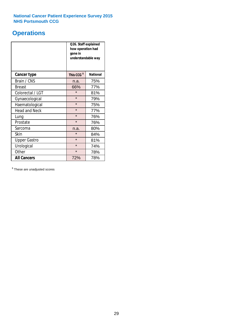# **Operations**

|                      | Q26. Staff explained<br>how operation had<br>gone in<br>understandable way |                 |  |  |
|----------------------|----------------------------------------------------------------------------|-----------------|--|--|
| <b>Cancer type</b>   | This CCG <sup>\$</sup>                                                     | <b>National</b> |  |  |
| Brain / CNS          | n.a.                                                                       | 75%             |  |  |
| <b>Breast</b>        | 66%                                                                        | 77%             |  |  |
| Colorectal / LGT     | $\star$                                                                    | 81%             |  |  |
| Gynaecological       | $\star$                                                                    | 79%             |  |  |
| Haematological       | $\star$<br>75%                                                             |                 |  |  |
| <b>Head and Neck</b> | $\star$                                                                    | 77%             |  |  |
| Lung                 | $\star$                                                                    | 76%             |  |  |
| Prostate             | $\star$                                                                    | 76%             |  |  |
| Sarcoma              | n.a.                                                                       | 80%             |  |  |
| Skin                 | $\star$                                                                    | 84%             |  |  |
| <b>Upper Gastro</b>  | $\star$                                                                    | 81%             |  |  |
| Urological           | $\star$                                                                    | 74%             |  |  |
| Other                | $\star$<br>78%                                                             |                 |  |  |
| <b>All Cancers</b>   | 72%                                                                        | 78%             |  |  |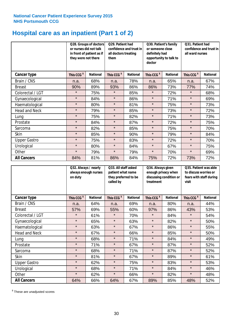# **Hospital care as an inpatient (Part 1 of 2)**

|                      | or nurses did not talk<br>they were not there | Q28. Groups of doctors<br>Q29. Patient had<br>confidence and trust in<br>in front of patient as if<br>all doctors treating<br>them |                        | Q30. Patient's family<br>or someone close<br>definitely had<br>opportunity to talk to<br>doctor |                        | Q31. Patient had<br>confidence and trust in I<br>all ward nurses |                        |                 |
|----------------------|-----------------------------------------------|------------------------------------------------------------------------------------------------------------------------------------|------------------------|-------------------------------------------------------------------------------------------------|------------------------|------------------------------------------------------------------|------------------------|-----------------|
| Cancer type          | This CCG <sup>\$</sup>                        | <b>National</b>                                                                                                                    | This CCG <sup>\$</sup> | <b>National</b>                                                                                 | This CCG <sup>\$</sup> | <b>National</b>                                                  | This CCG <sup>\$</sup> | <b>National</b> |
| Brain / CNS          | n.a.                                          | 68%                                                                                                                                | n.a.                   | 78%                                                                                             | n.a.                   | 65%                                                              | n.a.                   | 67%             |
| <b>Breast</b>        | 90%                                           | 89%                                                                                                                                | 93%                    | 86%                                                                                             | 86%                    | 73%                                                              | 77%                    | 74%             |
| Colorectal / LGT     | $\star$                                       | 75%                                                                                                                                | $\star$                | 85%                                                                                             | $\star$                | 72%                                                              | $\star$                | 68%             |
| Gynaecological       | $\star$                                       | 84%                                                                                                                                | $\star$                | 86%                                                                                             | $\star$                | 71%                                                              | $\star$                | 69%             |
| Haematological       | $\star$                                       | 80%                                                                                                                                | $\star$                | 81%                                                                                             | $\star$                | 75%                                                              | $\star$                | 73%             |
| <b>Head and Neck</b> | $\star$                                       | 79%                                                                                                                                | $\star$                | 85%                                                                                             | $\star$                | 73%                                                              | $\star$                | 72%             |
| Lung                 | $\star$                                       | 75%                                                                                                                                | $\star$                | 82%                                                                                             | $\star$                | 71%                                                              | $\star$                | 73%             |
| Prostate             | $\star$                                       | 84%                                                                                                                                | $\star$                | 87%                                                                                             | $\star$                | 72%                                                              | $\star$                | 75%             |
| Sarcoma              | $\star$                                       | 82%                                                                                                                                | $\star$                | 85%                                                                                             | $\star$                | 75%                                                              | $\star$                | 70%             |
| Skin                 | $\star$                                       | 85%                                                                                                                                | $\star$                | 90%                                                                                             | $\star$                | 79%                                                              | $\star$                | 84%             |
| <b>Upper Gastro</b>  | $\star$                                       | 75%                                                                                                                                | $\star$                | 83%                                                                                             | $\star$                | 72%                                                              | $\star$                | 70%             |
| Urological           | $\star$                                       | 80%                                                                                                                                | $\star$                | 84%                                                                                             | $\star$                | 67%                                                              | $\star$                | 75%             |
| Other                | $\star$                                       | 79%                                                                                                                                | $\star$                | 79%                                                                                             | $\star$                | 70%                                                              | $\star$                | 69%             |
| <b>All Cancers</b>   | 84%                                           | 81%                                                                                                                                | 86%                    | 84%                                                                                             | 75%                    | 72%                                                              | 73%                    | 72%             |

|                      | Q32. Always / nearly<br>on duty | always enough nurses | Q33. All staff asked<br>patient what name<br>they preferred to be<br>called by |                 | Q34. Always given<br>enough privacy when<br>discussing condition or<br>treatment |                 | Q35. Patient was able<br>to discuss worries or<br>fears with staff during<br>visit |                 |
|----------------------|---------------------------------|----------------------|--------------------------------------------------------------------------------|-----------------|----------------------------------------------------------------------------------|-----------------|------------------------------------------------------------------------------------|-----------------|
| <b>Cancer type</b>   | This CCG <sup>\$</sup>          | <b>National</b>      | This CCG <sup>\$</sup>                                                         | <b>National</b> | This CCG <sup>\$</sup>                                                           | <b>National</b> | This CCG <sup>\$</sup>                                                             | <b>National</b> |
| Brain / CNS          | n.a.                            | 64%                  | n.a.                                                                           | 69%             | n.a.                                                                             | 80%             | n.a.                                                                               | 44%             |
| <b>Breast</b>        | 57%                             | 69%                  | 55%                                                                            | 60%             | 97%                                                                              | 86%             | 43%                                                                                | 53%             |
| Colorectal / LGT     | $\star$                         | 61%                  | $\star$                                                                        | 70%             | $\star$                                                                          | 84%             | $\star$                                                                            | 54%             |
| Gynaecological       | $\star$                         | 65%                  | $\star$                                                                        | 63%             | $\star$                                                                          | 82%             | $\star$                                                                            | 50%             |
| Haematological       | $\star$                         | 63%                  | $\star$                                                                        | 67%             | $\star$                                                                          | 86%             | $\star$                                                                            | 55%             |
| <b>Head and Neck</b> | $\star$                         | 67%                  | $\star$                                                                        | 66%             | $\star$                                                                          | 85%             | $\star$                                                                            | 50%             |
| Lung                 | $\star$                         | 68%                  | $\star$                                                                        | 71%             | $\star$                                                                          | 84%             | $\star$                                                                            | 49%             |
| Prostate             | $\star$                         | 71%                  | $\star$                                                                        | 67%             | $\star$                                                                          | 87%             | $\star$                                                                            | 52%             |
| Sarcoma              | $\star$                         | 68%                  | $\star$                                                                        | 71%             | $\star$                                                                          | 87%             | $\star$                                                                            | 52%             |
| Skin                 | $\star$                         | 81%                  | $\star$                                                                        | 67%             | $\star$                                                                          | 89%             | $\star$                                                                            | 61%             |
| <b>Upper Gastro</b>  | $\star$                         | 62%                  | $\star$                                                                        | 75%             | $\star$                                                                          | 83%             | $\star$                                                                            | 53%             |
| Urological           | $\star$                         | 68%                  | $\star$                                                                        | 71%             | $\star$                                                                          | 84%             | $\star$                                                                            | 46%             |
| Other                | $\star$                         | 62%                  | $\star$                                                                        | 66%             | $\star$                                                                          | 82%             | $\star$                                                                            | 48%             |
| <b>All Cancers</b>   | 64%                             | 66%                  | 64%                                                                            | 67%             | 89%                                                                              | 85%             | 48%                                                                                | 52%             |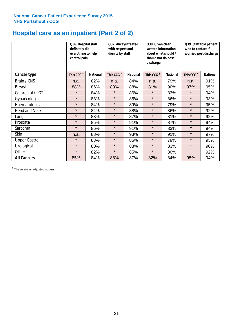# **Hospital care as an inpatient (Part 2 of 2)**

|                      | Q36. Hospital staff<br>definitely did<br>everything to help<br>control pain |                 | Q37. Always treated<br>with respect and<br>dignity by staff |                 | Q38. Given clear<br>written information<br>about what should /<br>should not do post<br>discharge |                 | Q39. Staff told patient<br>who to contact if<br>worried post discharge |                 |  |
|----------------------|-----------------------------------------------------------------------------|-----------------|-------------------------------------------------------------|-----------------|---------------------------------------------------------------------------------------------------|-----------------|------------------------------------------------------------------------|-----------------|--|
| Cancer type          | This CCG <sup>\$</sup>                                                      | <b>National</b> | This CCG <sup>\$</sup>                                      | <b>National</b> | This CCG <sup>\$</sup>                                                                            | <b>National</b> | This CCG <sup>\$</sup>                                                 | <b>National</b> |  |
| Brain / CNS          | n.a.                                                                        | 82%             | n.a.                                                        | 84%             | n.a.                                                                                              | 79%             | n.a.                                                                   | 91%             |  |
| <b>Breast</b>        | 88%                                                                         | 86%             | 83%                                                         | 88%             | 81%                                                                                               | 90%             | 97%                                                                    | 95%             |  |
| Colorectal / LGT     | $\star$                                                                     | 84%             | $\star$                                                     | 86%             | $\star$                                                                                           | 83%             | $\star$                                                                | 94%             |  |
| Gynaecological       | $\star$                                                                     | 83%             | $\star$                                                     | 85%             | $\star$                                                                                           | 86%             | $\star$                                                                | 93%             |  |
| Haematological       | $\star$                                                                     | 84%             | $\star$                                                     | 89%             | $\star$                                                                                           | 79%             | $\star$                                                                | 95%             |  |
| <b>Head and Neck</b> | $\star$                                                                     | 84%             | $\star$                                                     | 88%             | $\star$                                                                                           | 86%             | $\star$                                                                | 92%             |  |
| Lung                 | $\star$                                                                     | 83%             | $\star$                                                     | 87%             | $\star$                                                                                           | 81%             | $\star$                                                                | 92%             |  |
| Prostate             | $\star$                                                                     | 85%             | $\star$                                                     | 91%             | $\star$                                                                                           | 87%             | $\star$                                                                | 94%             |  |
| Sarcoma              | $\star$                                                                     | 86%             | $\star$                                                     | 91%             | $\star$                                                                                           | 83%             | $\star$                                                                | 94%             |  |
| Skin                 | n.a.                                                                        | 88%             | $\star$                                                     | 93%             | $\star$                                                                                           | 91%             | $\star$                                                                | 97%             |  |
| <b>Upper Gastro</b>  | $\star$                                                                     | 83%             | $\star$                                                     | 86%             | $\star$                                                                                           | 79%             | $\star$                                                                | 93%             |  |
| Urological           | $\star$                                                                     | 80%             | $\star$                                                     | 88%             | $\star$                                                                                           | 83%             | $\star$                                                                | 90%             |  |
| Other                | $\star$                                                                     | 82%             | $\star$                                                     | 85%             | $\star$                                                                                           | 80%             | $\star$                                                                | 92%             |  |
| <b>All Cancers</b>   | 85%                                                                         | 84%             | 88%                                                         | 87%             | 82%                                                                                               | 84%             | 95%                                                                    | 94%             |  |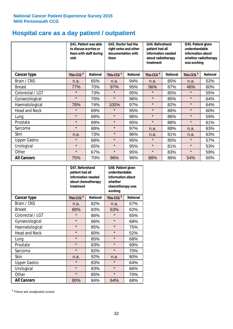# **Hospital care as a day patient / outpatient**

|                      | to discuss worries or<br>visit | Q41. Patient was able<br>fears with staff during | Q42. Doctor had the<br>right notes and other<br>documentation with<br>them |                 | Q44. Beforehand<br>patient had all<br>information needed<br>about radiotherapy<br>treatment |                 | Q45. Patient given<br>understandable<br>information about<br>whether radiotherapy<br>was working |                 |
|----------------------|--------------------------------|--------------------------------------------------|----------------------------------------------------------------------------|-----------------|---------------------------------------------------------------------------------------------|-----------------|--------------------------------------------------------------------------------------------------|-----------------|
| <b>Cancer type</b>   | This CCG <sup>\$</sup>         | <b>National</b>                                  | This CCG <sup>\$</sup>                                                     | <b>National</b> | This CCG <sup>\$</sup>                                                                      | <b>National</b> | This CCG <sup>\$</sup>                                                                           | <b>National</b> |
| Brain / CNS          | n.a.                           | 65%                                              | n.a.                                                                       | 94%             | n.a.                                                                                        | 85%             | n.a.                                                                                             | 52%             |
| <b>Breast</b>        | 77%                            | 70%                                              | 97%                                                                        | 95%             | 96%                                                                                         | 87%             | 46%                                                                                              | 60%             |
| Colorectal / LGT     | $\star$                        | 73%                                              | $\star$                                                                    | 95%             | $\star$                                                                                     | 85%             | $\star$                                                                                          | 55%             |
| Gynaecological       | $\star$                        | 70%                                              | $\star$                                                                    | 96%             | $\star$                                                                                     | 85%             | $\star$                                                                                          | 64%             |
| Haematological       | 78%                            | 74%                                              | 100%                                                                       | 97%             | $\star$                                                                                     | 82%             | $\star$                                                                                          | 64%             |
| <b>Head and Neck</b> | $\star$                        | 69%                                              | $\star$                                                                    | 95%             | $\star$                                                                                     | 86%             | $\star$                                                                                          | 60%             |
| Lung                 | $\star$                        | 69%                                              | $\star$                                                                    | 96%             | $\star$                                                                                     | 86%             | $\star$                                                                                          | 59%             |
| Prostate             | $\star$                        | 69%                                              | $\star$                                                                    | 95%             | $\star$                                                                                     | 88%             | $\star$                                                                                          | 61%             |
| Sarcoma              | $\star$                        | 68%                                              | $\star$                                                                    | 97%             | n.a.                                                                                        | 88%             | n.a.                                                                                             | 63%             |
| Skin                 | n.a.                           | 73%                                              | $\star$                                                                    | 96%             | n.a.                                                                                        | 81%             | n.a.                                                                                             | 63%             |
| <b>Upper Gastro</b>  | $\star$                        | 68%                                              | $\star$                                                                    | 95%             | $\star$                                                                                     | 85%             | $\star$                                                                                          | 57%             |
| Urological           | $\star$                        | 65%                                              | $\star$                                                                    | 95%             | $\star$                                                                                     | 81%             | $\star$                                                                                          | 53%             |
| Other                | $\star$                        | 67%                                              | $\star$                                                                    | 95%             | $\star$                                                                                     | 83%             | $\star$                                                                                          | 59%             |
| <b>All Cancers</b>   | 75%                            | 70%                                              | 96%                                                                        | 96%             | 88%                                                                                         | 86%             | 54%                                                                                              | 60%             |

|                      | O47. Beforehand<br>patient had all<br>information needed<br>treatment | about chemotherapy | Q48. Patient given<br>understandable<br>information about<br>whether<br>chemotherapy was<br>working |                 |  |
|----------------------|-----------------------------------------------------------------------|--------------------|-----------------------------------------------------------------------------------------------------|-----------------|--|
| <b>Cancer type</b>   | This CCG <sup>\$</sup>                                                | <b>National</b>    | This CCG <sup>\$</sup>                                                                              | <b>National</b> |  |
| Brain / CNS          | n.a.                                                                  | 82%                | n.a.                                                                                                | 57%             |  |
| <b>Breast</b>        | 89%                                                                   | 83%                | 63%                                                                                                 | 62%             |  |
| Colorectal / LGT     | $\star$                                                               | 86%                | $\star$                                                                                             | 65%             |  |
| Gynaecological       | $\star$                                                               | 86%                | $\star$                                                                                             | 68%             |  |
| Haematological       | $\star$                                                               | 85%                |                                                                                                     | 75%             |  |
| <b>Head and Neck</b> | $\star$                                                               | 80%                | $\star$                                                                                             | 52%             |  |
| Lung                 | $\star$                                                               | 85%                | $\star$                                                                                             | 68%             |  |
| Prostate             | $\star$                                                               | 83%                | $\star$                                                                                             | 69%             |  |
| Sarcoma              | $\star$                                                               | 82%                | $\star$                                                                                             | 70%             |  |
| Skin                 | n.a.                                                                  | 92%                | n.a.                                                                                                | 80%             |  |
| <b>Upper Gastro</b>  | $\star$                                                               | 83%                | $\star$                                                                                             | 64%             |  |
| Urological           | $\star$                                                               | 83%                | $\star$                                                                                             | 66%             |  |
| Other                | $\star$                                                               | 85%                | $\star$                                                                                             | 70%             |  |
| <b>All Cancers</b>   | 90%                                                                   | 84%                | 64%                                                                                                 | 68%             |  |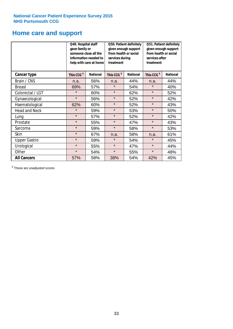# **Home care and support**

|                      | Q49. Hospital staff<br>gave family or | someone close all the<br>information needed to<br>help with care at home | Q50. Patient definitely<br>given enough support<br>from health or social<br>services during<br>treatment |                 | Q51. Patient definitely<br>given enough support<br>from health or social<br>services after<br>treatment |                 |
|----------------------|---------------------------------------|--------------------------------------------------------------------------|----------------------------------------------------------------------------------------------------------|-----------------|---------------------------------------------------------------------------------------------------------|-----------------|
| <b>Cancer type</b>   | This CCG <sup>\$</sup>                | <b>National</b>                                                          | This CCG <sup>\$</sup>                                                                                   | <b>National</b> | This CCG <sup>\$</sup>                                                                                  | <b>National</b> |
| Brain / CNS          | n.a.                                  | 56%                                                                      | n.a.                                                                                                     | 44%             | n.a.                                                                                                    | 44%             |
| <b>Breast</b>        | 69%                                   | 57%                                                                      | $\star$                                                                                                  | 54%             | $\star$                                                                                                 | 40%             |
| Colorectal / LGT     | $\star$                               | 60%                                                                      | $\star$                                                                                                  | 62%             | $\star$                                                                                                 | 52%             |
| Gynaecological       | $\star$                               | 56%                                                                      | $\star$                                                                                                  | 52%             | $\star$                                                                                                 | 42%             |
| Haematological       | 62%                                   | 60%                                                                      | $\star$                                                                                                  | 52%             | $\star$                                                                                                 | 43%             |
| <b>Head and Neck</b> | $\star$                               | 59%                                                                      | $\star$                                                                                                  | 53%             | $\star$                                                                                                 | 50%             |
| Lung                 | $\star$                               | 57%                                                                      | $\star$                                                                                                  | 52%             | $\star$                                                                                                 | 42%             |
| Prostate             | $\star$                               | 55%                                                                      | $\star$                                                                                                  | 47%             | $\star$                                                                                                 | 43%             |
| Sarcoma              | $\star$                               | 59%                                                                      | $\star$                                                                                                  | 58%             | $\star$                                                                                                 | 53%             |
| Skin                 | $\star$                               | 67%                                                                      | n.a.                                                                                                     | 58%             | n.a.                                                                                                    | 61%             |
| <b>Upper Gastro</b>  | $\star$                               | 59%                                                                      | $\star$                                                                                                  | 54%             | $\star$                                                                                                 | 45%             |
| Urological           | $\star$                               | 55%                                                                      | $\star$                                                                                                  | 47%             | $\star$                                                                                                 | 44%             |
| Other                | $\star$                               | 54%                                                                      | $\star$                                                                                                  | 55%             | $\star$                                                                                                 | 48%             |
| <b>All Cancers</b>   | 57%                                   | 58%                                                                      | 38%                                                                                                      | 54%             | 42%                                                                                                     | 45%             |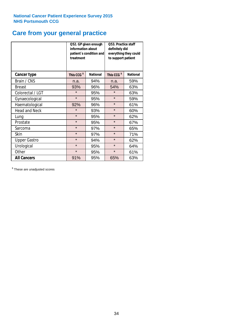# **Care from your general practice**

|                      | information about<br>treatment | Q52. GP given enough<br>patient's condition and | O53. Practice staff<br>definitely did<br>everything they could<br>to support patient |                 |  |
|----------------------|--------------------------------|-------------------------------------------------|--------------------------------------------------------------------------------------|-----------------|--|
| <b>Cancer type</b>   | This CCG <sup>\$</sup>         | <b>National</b>                                 | This CCG <sup>\$</sup>                                                               | <b>National</b> |  |
| Brain / CNS          | n.a.                           | 94%                                             | n.a.                                                                                 | 59%             |  |
| <b>Breast</b>        | 93%                            | 96%                                             | 54%                                                                                  | 63%             |  |
| Colorectal / LGT     | $\star$                        | 95%                                             | $\star$                                                                              | 63%             |  |
| Gynaecological       | $\star$<br>95%                 |                                                 | $\star$                                                                              | 59%             |  |
| Haematological       | 92%                            | 96%                                             |                                                                                      | 61%             |  |
| <b>Head and Neck</b> | $\star$                        | 93%                                             | $\star$                                                                              | 60%             |  |
| Lung                 | $\star$                        | 95%                                             | $\star$                                                                              | 62%             |  |
| Prostate             | $\star$                        | 95%                                             | $\star$                                                                              | 67%             |  |
| Sarcoma              | $\star$                        | 97%                                             | $\star$                                                                              | 65%             |  |
| Skin                 | $\star$                        | 97%                                             | $\star$                                                                              | 71%             |  |
| <b>Upper Gastro</b>  | $\star$                        | 94%                                             | $\star$                                                                              | 62%             |  |
| Urological           | $\star$                        | 95%                                             | $\star$                                                                              | 64%             |  |
| Other                | $\star$                        | 95%                                             | $\star$                                                                              | 61%             |  |
| <b>All Cancers</b>   | 91%                            | 95%                                             | 65%                                                                                  | 63%             |  |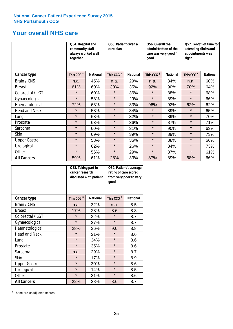# **Your overall NHS care**

|                      | together               | Q54. Hospital and<br>community staff<br>always worked well |                        | Q55. Patient given a<br>qood |                        | Q56. Overall the<br>administration of the<br>care was very good / |                        | Q57. Length of time for<br>attending clinics and<br>appointments was<br>right |  |
|----------------------|------------------------|------------------------------------------------------------|------------------------|------------------------------|------------------------|-------------------------------------------------------------------|------------------------|-------------------------------------------------------------------------------|--|
| Cancer type          | This CCG <sup>\$</sup> | <b>National</b>                                            | This CCG <sup>\$</sup> | <b>National</b>              | This CCG <sup>\$</sup> | <b>National</b>                                                   | This CCG <sup>\$</sup> | <b>National</b>                                                               |  |
| Brain / CNS          | n.a.                   | 45%                                                        | n.a.                   | 29%                          | n.a.                   | 84%                                                               | n.a.                   | 60%                                                                           |  |
| <b>Breast</b>        | 61%                    | 60%                                                        | 30%                    | 35%                          | 92%                    | 90%                                                               | 70%                    | 64%                                                                           |  |
| Colorectal / LGT     | $\star$                | 60%                                                        | $\star$                | 36%                          | $\star$                | 88%                                                               | $\star$                | 68%                                                                           |  |
| Gynaecological       | $\star$                | 58%                                                        | $\star$                | 29%                          | $\star$                | 89%                                                               | $\star$                | 66%                                                                           |  |
| Haematological       | 72%                    | 63%                                                        | $\star$                | 33%                          | 96%                    | 92%                                                               | 62%                    | 62%                                                                           |  |
| <b>Head and Neck</b> | $\star$                | 58%                                                        | $\star$                | 34%                          | $\star$                | 89%                                                               | $\star$                | 65%                                                                           |  |
| Lung                 | $\star$                | 63%                                                        | $\star$                | 32%                          | $\star$                | 89%                                                               | $\star$                | 70%                                                                           |  |
| Prostate             | $\star$                | 63%                                                        | $\star$                | 36%                          | $\star$                | 87%                                                               | $\star$                | 71%                                                                           |  |
| Sarcoma              | $\star$                | 60%                                                        | $\star$                | 31%                          | $\star$                | 90%                                                               | $\star$                | 63%                                                                           |  |
| Skin                 | $\star$                | 69%                                                        | $\star$                | 39%                          | $\star$                | 89%                                                               | $\star$                | 73%                                                                           |  |
| <b>Upper Gastro</b>  | $\star$                | 58%                                                        | $\star$                | 36%                          | $\star$                | 88%                                                               | $\star$                | 66%                                                                           |  |
| Urological           | $\star$                | 62%                                                        | $\star$                | 26%                          | $\star$                | 84%                                                               | $\star$                | 73%                                                                           |  |
| Other                | $\star$                | 56%                                                        | $\star$                | 29%                          | $\star$                | 87%                                                               | $\star$                | 61%                                                                           |  |
| <b>All Cancers</b>   | 59%                    | 61%                                                        | 28%                    | 33%                          | 87%                    | 89%                                                               | 68%                    | 66%                                                                           |  |

|                      | Q58. Taking part in<br>cancer research | discussed with patient | Q59. Patient's average<br>rating of care scored<br>from very poor to very<br>good |                 |  |
|----------------------|----------------------------------------|------------------------|-----------------------------------------------------------------------------------|-----------------|--|
| <b>Cancer type</b>   | This CCG <sup>\$</sup>                 | <b>National</b>        | This CCG <sup>\$</sup>                                                            | <b>National</b> |  |
| Brain / CNS          | n.a.                                   | 32%                    | n.a.                                                                              | 8.5             |  |
| <b>Breast</b>        | 17%                                    | 28%                    | 8.6                                                                               | 8.8             |  |
| Colorectal / LGT     | $\star$                                | 22%                    | $\star$                                                                           | 8.7             |  |
| Gynaecological       | $\star$                                | 27%                    | $\star$                                                                           | 8.7             |  |
| Haematological       | 28%                                    | 36%                    | 9.0                                                                               | 8.8             |  |
| <b>Head and Neck</b> | $\star$                                | 21%                    | $\star$                                                                           | 8.6             |  |
| Lung                 | $\star$                                | 34%                    | $\star$                                                                           | 8.6             |  |
| Prostate             | $\star$                                | 35%                    | $\star$                                                                           | 8.6             |  |
| Sarcoma              | n.a.                                   | 29%                    | $\star$                                                                           | 8.7             |  |
| <b>Skin</b>          | $\star$                                | 17%                    | $\star$                                                                           | 8.9             |  |
| <b>Upper Gastro</b>  | $\star$                                | 30%                    | $\star$                                                                           | 8.6             |  |
| Urological           | $\star$                                | 14%                    | $\star$                                                                           | 8.5             |  |
| Other                | $\star$                                | 31%                    | $\star$                                                                           | 8.6             |  |
| <b>All Cancers</b>   | 22%                                    | 28%                    | 8.6                                                                               | 8.7             |  |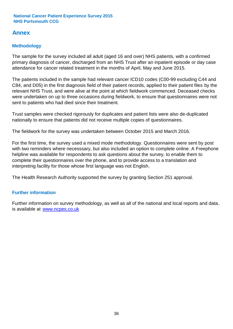### **Annex**

### **Methodology**

The sample for the survey included all adult (aged 16 and over) NHS patients, with a confirmed primary diagnosis of cancer, discharged from an NHS Trust after an inpatient episode or day case attendance for cancer related treatment in the months of April, May and June 2015.

The patients included in the sample had relevant cancer ICD10 codes (C00-99 excluding C44 and C84, and D05) in the first diagnosis field of their patient records, applied to their patient files by the relevant NHS Trust, and were alive at the point at which fieldwork commenced. Deceased checks were undertaken on up to three occasions during fieldwork, to ensure that questionnaires were not sent to patients who had died since their treatment.

Trust samples were checked rigorously for duplicates and patient lists were also de-duplicated nationally to ensure that patients did not receive multiple copies of questionnaires.

The fieldwork for the survey was undertaken between October 2015 and March 2016.

For the first time, the survey used a mixed mode methodology. Questionnaires were sent by post with two reminders where necesssary, but also included an option to complete online. A Freephone helpline was available for respondents to ask questions about the survey, to enable them to complete their questionnaires over the phone, and to provide access to a translation and interpreting facility for those whose first language was not English.

The Health Research Authority supported the survey by granting Section 251 approval.

### **Further information**

Further information on survey methodology, as well as all of the national and local reports and data, is available at www.ncpes.co.uk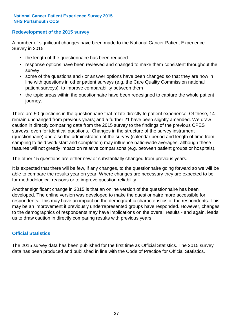### **Redevelopment of the 2015 survey**

A number of significant changes have been made to the National Cancer Patient Experience Survey in 2015:

- the length of the questionnaire has been reduced
- response options have been reviewed and changed to make them consistent throughout the survey
- some of the questions and / or answer options have been changed so that they are now in line with questions in other patient surveys (e.g. the Care Quality Commission national patient surveys), to improve comparability between them
- the topic areas within the questionnaire have been redesigned to capture the whole patient journey.

There are 50 questions in the questionnaire that relate directly to patient experience. Of these, 14 remain unchanged from previous years; and a further 21 have been slightly amended. We draw caution in directly comparing data from the 2015 survey to the findings of the previous CPES surveys, even for identical questions. Changes in the structure of the survey instrument (questionnaire) and also the administration of the survey (calendar period and length of time from sampling to field work start and completion) may influence nationwide averages, although these features will not greatly impact on relative comparisons (e.g. between patient groups or hospitals).

The other 15 questions are either new or substantially changed from previous years.

It is expected that there will be few, if any changes, to the questionnaire going forward so we will be able to compare the results year on year. Where changes are necessary they are expected to be for methodological reasons or to improve question reliability.

Another significant change in 2015 is that an online version of the questionnaire has been developed. The online version was developed to make the questionnaire more accessible for respondents. This may have an impact on the demographic characteristics of the respondents. This may be an improvement if previously underrepresented groups have responded. However, changes to the demographics of respondents may have implications on the overall results - and again, leads us to draw caution in directly comparing results with previous years.

### **Official Statistics**

The 2015 survey data has been published for the first time as Official Statistics. The 2015 survey data has been produced and published in line with the Code of Practice for Official Statistics.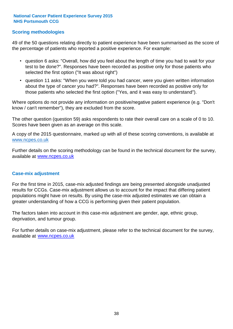### **Scoring methodologies**

49 of the 50 questions relating directly to patient experience have been summarised as the score of the percentage of patients who reported a positive experience. For example:

- question 6 asks: "Overall, how did you feel about the length of time you had to wait for your test to be done?". Responses have been recorded as positive only for those patients who selected the first option ("It was about right")
- question 11 asks: "When you were told you had cancer, were you given written information about the type of cancer you had?". Responses have been recorded as positive only for those patients who selected the first option ("Yes, and it was easy to understand").

Where options do not provide any information on positive/negative patient experience (e.g. "Don't know / can't remember"), they are excluded from the score.

The other question (question 59) asks respondents to rate their overall care on a scale of 0 to 10. Scores have been given as an average on this scale.

A copy of the 2015 questionnaire, marked up with all of these scoring conventions, is available at www.ncpes.co.uk

Further details on the scoring methodology can be found in the technical document for the survey, available at <u>www.ncpes.co.uk</u>

#### **Case-mix adjustment**

For the first time in 2015, case-mix adjusted findings are being presented alongside unadjusted results for CCGs. Case-mix adjustment allows us to account for the impact that differing patient populations might have on results. By using the case-mix adjusted estimates we can obtain a greater understanding of how a CCG is performing given their patient population.

The factors taken into account in this case-mix adjustment are gender, age, ethnic group, deprivation, and tumour group.

For further details on case-mix adjustment, please refer to the technical document for the survey, available at www.ncpes.co.uk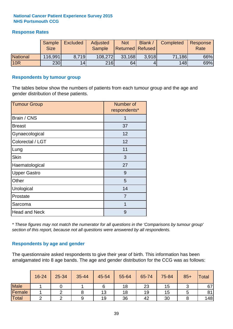### **Response Rates**

|                 | Sample<br><b>Size</b> | <b>Excluded</b> | <b>Adjusted</b><br><b>Sample</b> | <b>Not</b><br><b>Returned Refused</b> | Blank | <b>Completed</b> | Response<br>Rate |
|-----------------|-----------------------|-----------------|----------------------------------|---------------------------------------|-------|------------------|------------------|
| <b>National</b> | 116,991               | 8.719           | 108,272                          | 33,168                                | 3.918 | 71,186           | 66%              |
| <b>10R</b>      | 230                   | 14              | <b>216</b>                       | 64                                    |       | 148              | 69%              |

#### **Respondents by tumour group**

The tables below show the numbers of patients from each tumour group and the age and gender distribution of these patients.

| <b>Tumour Group</b>  | Number of<br>respondents* |  |  |
|----------------------|---------------------------|--|--|
| Brain / CNS          | 1                         |  |  |
| <b>Breast</b>        | 37                        |  |  |
| Gynaecological       | 12                        |  |  |
| Colorectal / LGT     | 12                        |  |  |
| Lung                 | 11                        |  |  |
| <b>Skin</b>          | 3                         |  |  |
| Haematological       | 27                        |  |  |
| <b>Upper Gastro</b>  | 9                         |  |  |
| Other                | 5                         |  |  |
| Urological           | 14                        |  |  |
| Prostate             | 7                         |  |  |
| Sarcoma              | 1                         |  |  |
| <b>Head and Neck</b> | 9                         |  |  |

*\* These figures may not match the numerator for all questions in the 'Comparisons by tumour group' section of this report, because not all questions were answered by all respondents.*

### **Respondents by age and gender**

The questionnaire asked respondents to give their year of birth. This information has been amalgamated into 8 age bands. The age and gender distribution for the CCG was as follows:

|             | 16-24 | 25-34 | 35-44 | 45-54 | 55-64 | 65-74 | 75-84 | $85+$ | <b>Total</b> |
|-------------|-------|-------|-------|-------|-------|-------|-------|-------|--------------|
| <b>Male</b> |       |       |       |       | 18    | 23    | 15    |       | 67           |
| Female      |       |       |       | 13    | 18    | 19    | 15    |       | 81           |
| Total       |       |       |       | 19    | 36    | 42    | 30    |       | 148          |